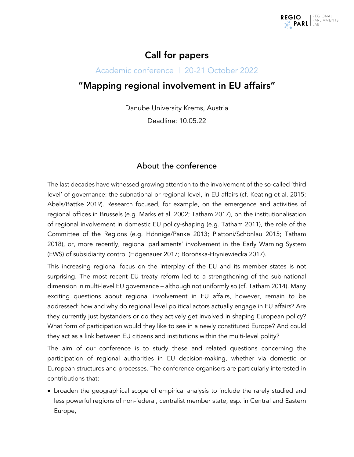

## Call for papers

### Academic conference | 20-21 October 2022

# "Mapping regional involvement in EU affairs"

Danube University Krems, Austria

Deadline: 10.05.22

## About the conference

The last decades have witnessed growing attention to the involvement of the so-called 'third level' of governance: the subnational or regional level, in EU affairs (cf. Keating et al. 2015; Abels/Battke 2019). Research focused, for example, on the emergence and activities of regional offices in Brussels (e.g. Marks et al. 2002; Tatham 2017), on the institutionalisation of regional involvement in domestic EU policy-shaping (e.g. Tatham 2011), the role of the Committee of the Regions (e.g. Hönnige/Panke 2013; Piattoni/Schönlau 2015; Tatham 2018), or, more recently, regional parliaments' involvement in the Early Warning System (EWS) of subsidiarity control (Högenauer 2017; Borońska-Hryniewiecka 2017).

This increasing regional focus on the interplay of the EU and its member states is not surprising. The most recent EU treaty reform led to a strengthening of the sub-national dimension in multi-level EU governance – although not uniformly so (cf. Tatham 2014). Many exciting questions about regional involvement in EU affairs, however, remain to be addressed: how and why do regional level political actors actually engage in EU affairs? Are they currently just bystanders or do they actively get involved in shaping European policy? What form of participation would they like to see in a newly constituted Europe? And could they act as a link between EU citizens and institutions within the multi-level polity?

The aim of our conference is to study these and related questions concerning the participation of regional authorities in EU decision-making, whether via domestic or European structures and processes. The conference organisers are particularly interested in contributions that:

• broaden the geographical scope of empirical analysis to include the rarely studied and less powerful regions of non-federal, centralist member state, esp. in Central and Eastern Europe,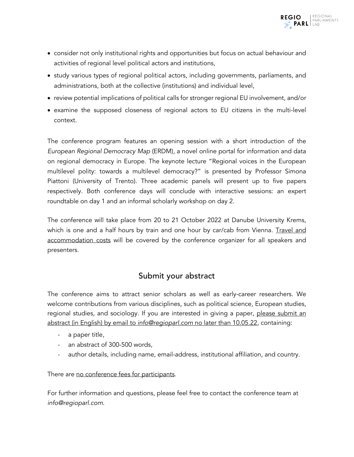- consider not only institutional rights and opportunities but focus on actual behaviour and activities of regional level political actors and institutions,
- study various types of regional political actors, including governments, parliaments, and administrations, both at the collective (institutions) and individual level,
- review potential implications of political calls for stronger regional EU involvement, and/or
- examine the supposed closeness of regional actors to EU citizens in the multi-level context.

The conference program features an opening session with a short introduction of the *European Regional Democracy Map* (ERDM), a novel online portal for information and data on regional democracy in Europe. The keynote lecture "Regional voices in the European multilevel polity: towards a multilevel democracy?" is presented by Professor Simona Piattoni (University of Trento). Three academic panels will present up to five papers respectively. Both conference days will conclude with interactive sessions: an expert roundtable on day 1 and an informal scholarly workshop on day 2.

The conference will take place from 20 to 21 October 2022 at Danube University Krems, which is one and a half hours by train and one hour by car/cab from Vienna. Travel and accommodation costs will be covered by the conference organizer for all speakers and presenters.

## Submit your abstract

The conference aims to attract senior scholars as well as early-career researchers. We welcome contributions from various disciplines, such as political science, European studies, regional studies, and sociology. If you are interested in giving a paper, please submit an abstract (in English) by email to *info@regioparl.com* no later than 10.05.22, containing:

- a paper title,
- an abstract of 300-500 words,
- author details, including name, email-address, institutional affiliation, and country.

There are no conference fees for participants.

For further information and questions, please feel free to contact the conference team at *info@regioparl.com*.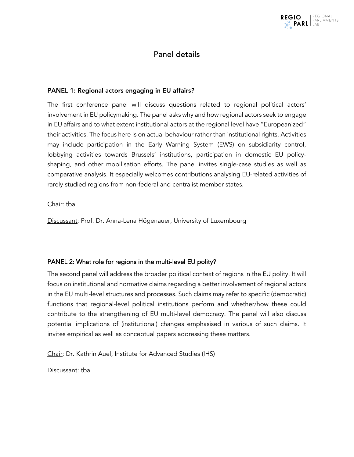

## Panel details

#### PANEL 1: Regional actors engaging in EU affairs?

The first conference panel will discuss questions related to regional political actors' involvement in EU policymaking. The panel asks why and how regional actors seek to engage in EU affairs and to what extent institutional actors at the regional level have "Europeanized" their activities. The focus here is on actual behaviour rather than institutional rights. Activities may include participation in the Early Warning System (EWS) on subsidiarity control, lobbying activities towards Brussels' institutions, participation in domestic EU policyshaping, and other mobilisation efforts. The panel invites single-case studies as well as comparative analysis. It especially welcomes contributions analysing EU-related activities of rarely studied regions from non-federal and centralist member states.

#### Chair: tba

Discussant: Prof. Dr. Anna-Lena Högenauer, University of Luxembourg

### PANEL 2: What role for regions in the multi-level EU polity?

The second panel will address the broader political context of regions in the EU polity. It will focus on institutional and normative claims regarding a better involvement of regional actors in the EU multi-level structures and processes. Such claims may refer to specific (democratic) functions that regional-level political institutions perform and whether/how these could contribute to the strengthening of EU multi-level democracy. The panel will also discuss potential implications of (institutional) changes emphasised in various of such claims. It invites empirical as well as conceptual papers addressing these matters.

Chair: Dr. Kathrin Auel, Institute for Advanced Studies (IHS)

Discussant: tba